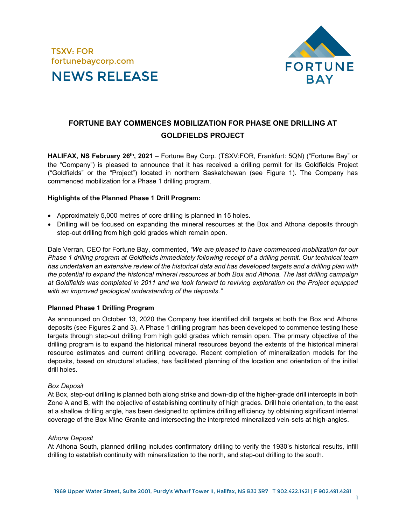



# **FORTUNE BAY COMMENCES MOBILIZATION FOR PHASE ONE DRILLING AT GOLDFIELDS PROJECT**

**HALIFAX, NS February 26th, 2021** – Fortune Bay Corp. (TSXV:FOR, Frankfurt: 5QN) ("Fortune Bay" or the "Company") is pleased to announce that it has received a drilling permit for its Goldfields Project ("Goldfields" or the "Project") located in northern Saskatchewan (see Figure 1). The Company has commenced mobilization for a Phase 1 drilling program.

#### **Highlights of the Planned Phase 1 Drill Program:**

- Approximately 5,000 metres of core drilling is planned in 15 holes.
- Drilling will be focused on expanding the mineral resources at the Box and Athona deposits through step-out drilling from high gold grades which remain open.

Dale Verran, CEO for Fortune Bay, commented, *"We are pleased to have commenced mobilization for our Phase 1 drilling program at Goldfields immediately following receipt of a drilling permit. Our technical team has undertaken an extensive review of the historical data and has developed targets and a drilling plan with the potential to expand the historical mineral resources at both Box and Athona. The last drilling campaign at Goldfields was completed in 2011 and we look forward to reviving exploration on the Project equipped with an improved geological understanding of the deposits."*

## **Planned Phase 1 Drilling Program**

As announced on October 13, 2020 the Company has identified drill targets at both the Box and Athona deposits (see Figures 2 and 3). A Phase 1 drilling program has been developed to commence testing these targets through step-out drilling from high gold grades which remain open. The primary objective of the drilling program is to expand the historical mineral resources beyond the extents of the historical mineral resource estimates and current drilling coverage. Recent completion of mineralization models for the deposits, based on structural studies, has facilitated planning of the location and orientation of the initial drill holes.

## *Box Deposit*

At Box, step-out drilling is planned both along strike and down-dip of the higher-grade drill intercepts in both Zone A and B, with the objective of establishing continuity of high grades. Drill hole orientation, to the east at a shallow drilling angle, has been designed to optimize drilling efficiency by obtaining significant internal coverage of the Box Mine Granite and intersecting the interpreted mineralized vein-sets at high-angles.

## *Athona Deposit*

At Athona South, planned drilling includes confirmatory drilling to verify the 1930's historical results, infill drilling to establish continuity with mineralization to the north, and step-out drilling to the south.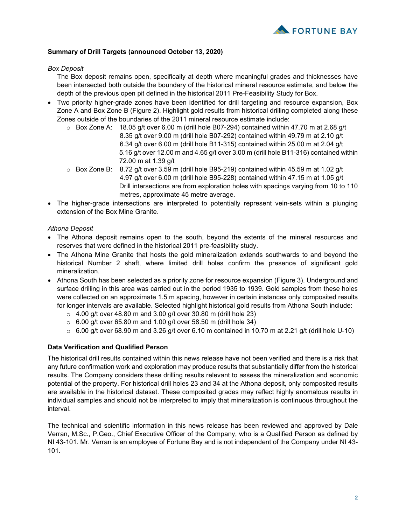

# **Summary of Drill Targets (announced October 13, 2020)**

# *Box Deposit*

The Box deposit remains open, specifically at depth where meaningful grades and thicknesses have been intersected both outside the boundary of the historical mineral resource estimate, and below the depth of the previous open pit defined in the historical 2011 Pre-Feasibility Study for Box.

- Two priority higher-grade zones have been identified for drill targeting and resource expansion, Box Zone A and Box Zone B (Figure 2). Highlight gold results from historical drilling completed along these Zones outside of the boundaries of the 2011 mineral resource estimate include:
	- $\circ$  Box Zone A: 18.05 g/t over 6.00 m (drill hole B07-294) contained within 47.70 m at 2.68 g/t 8.35 g/t over 9.00 m (drill hole B07-292) contained within 49.79 m at 2.10 g/t 6.34 g/t over 6.00 m (drill hole B11-315) contained within 25.00 m at 2.04 g/t 5.16 g/t over 12.00 m and 4.65 g/t over 3.00 m (drill hole B11-316) contained within 72.00 m at 1.39 g/t
	- $\circ$  Box Zone B: 8.72 g/t over 3.59 m (drill hole B95-219) contained within 45.59 m at 1.02 g/t 4.97 g/t over 6.00 m (drill hole B95-228) contained within 47.15 m at 1.05 g/t Drill intersections are from exploration holes with spacings varying from 10 to 110 metres, approximate 45 metre average.
- The higher-grade intersections are interpreted to potentially represent vein-sets within a plunging extension of the Box Mine Granite.

# *Athona Deposit*

- The Athona deposit remains open to the south, beyond the extents of the mineral resources and reserves that were defined in the historical 2011 pre-feasibility study.
- The Athona Mine Granite that hosts the gold mineralization extends southwards to and beyond the historical Number 2 shaft, where limited drill holes confirm the presence of significant gold mineralization.
- Athona South has been selected as a priority zone for resource expansion (Figure 3). Underground and surface drilling in this area was carried out in the period 1935 to 1939. Gold samples from these holes were collected on an approximate 1.5 m spacing, however in certain instances only composited results for longer intervals are available. Selected highlight historical gold results from Athona South include:
	- $\circ$  4.00 g/t over 48.80 m and 3.00 g/t over 30.80 m (drill hole 23)
	- $\circ$  6.00 g/t over 65.80 m and 1.00 g/t over 58.50 m (drill hole 34)
	- $\circ$  6.00 g/t over 68.90 m and 3.26 g/t over 6.10 m contained in 10.70 m at 2.21 g/t (drill hole U-10)

# **Data Verification and Qualified Person**

The historical drill results contained within this news release have not been verified and there is a risk that any future confirmation work and exploration may produce results that substantially differ from the historical results. The Company considers these drilling results relevant to assess the mineralization and economic potential of the property. For historical drill holes 23 and 34 at the Athona deposit, only composited results are available in the historical dataset. These composited grades may reflect highly anomalous results in individual samples and should not be interpreted to imply that mineralization is continuous throughout the interval.

The technical and scientific information in this news release has been reviewed and approved by Dale Verran, M.Sc., P.Geo., Chief Executive Officer of the Company, who is a Qualified Person as defined by NI 43-101. Mr. Verran is an employee of Fortune Bay and is not independent of the Company under NI 43- 101.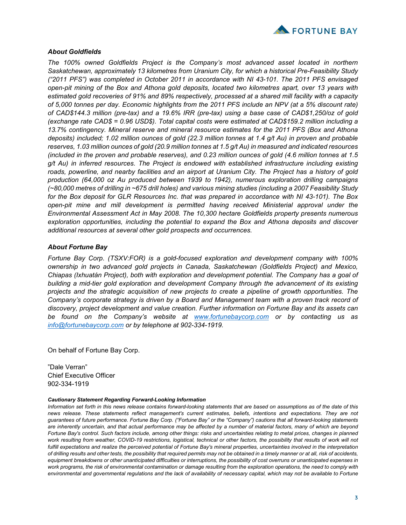

# *About Goldfields*

*The 100% owned Goldfields Project is the Company's most advanced asset located in northern Saskatchewan, approximately 13 kilometres from Uranium City, for which a historical Pre-Feasibility Study ("2011 PFS") was completed in October 2011 in accordance with NI 43-101. The 2011 PFS envisaged open-pit mining of the Box and Athona gold deposits, located two kilometres apart, over 13 years with estimated gold recoveries of 91% and 89% respectively, processed at a shared mill facility with a capacity of 5,000 tonnes per day. Economic highlights from the 2011 PFS include an NPV (at a 5% discount rate) of CAD\$144.3 million (pre-tax) and a 19.6% IRR (pre-tax) using a base case of CAD\$1,250/oz of gold (exchange rate CAD\$ = 0.96 USD\$). Total capital costs were estimated at CAD\$159.2 million including a 13.7% contingency. Mineral reserve and mineral resource estimates for the 2011 PFS (Box and Athona deposits) included; 1.02 million ounces of gold (22.3 million tonnes at 1.4 g/t Au) in proven and probable reserves, 1.03 million ounces of gold (20.9 million tonnes at 1.5 g/t Au) in measured and indicated resources (included in the proven and probable reserves), and 0.23 million ounces of gold (4.6 million tonnes at 1.5 g/t Au) in inferred resources. The Project is endowed with established infrastructure including existing roads, powerline, and nearby facilities and an airport at Uranium City. The Project has a history of gold production (64,000 oz Au produced between 1939 to 1942), numerous exploration drilling campaigns (~80,000 metres of drilling in ~675 drill holes) and various mining studies (including a 2007 Feasibility Study for the Box deposit for GLR Resources Inc. that was prepared in accordance with NI 43-101). The Box open-pit mine and mill development is permitted having received Ministerial approval under the Environmental Assessment Act in May 2008. The 10,300 hectare Goldfields property presents numerous exploration opportunities, including the potential to expand the Box and Athona deposits and discover additional resources at several other gold prospects and occurrences.*

## *About Fortune Bay*

*Fortune Bay Corp. (TSXV:FOR) is a gold-focused exploration and development company with 100% ownership in two advanced gold projects in Canada, Saskatchewan (Goldfields Project) and Mexico, Chiapas (Ixhuatán Project), both with exploration and development potential. The Company has a goal of building a mid-tier gold exploration and development Company through the advancement of its existing projects and the strategic acquisition of new projects to create a pipeline of growth opportunities. The Company's corporate strategy is driven by a Board and Management team with a proven track record of discovery, project development and value creation. Further information on Fortune Bay and its assets can be found on the Company's website at [www.fortunebaycorp.com](http://www.fortunebaycorp.com/) or by contacting us as [info@fortunebaycorp.com](mailto:info@fortunebaycorp.com) or by telephone at 902-334-1919.*

On behalf of Fortune Bay Corp.

"Dale Verran" Chief Executive Officer 902-334-1919

#### *Cautionary Statement Regarding Forward-Looking Information*

*Information set forth in this news release contains forward-looking statements that are based on assumptions as of the date of this news release. These statements reflect management's current estimates, beliefs, intentions and expectations. They are not guarantees of future performance. Fortune Bay Corp. ("Fortune Bay" or the "Company") cautions that all forward-looking statements are inherently uncertain, and that actual performance may be affected by a number of material factors, many of which are beyond Fortune Bay's control. Such factors include, among other things: risks and uncertainties relating to metal prices, changes in planned work resulting from weather, COVID-19 restrictions, logistical, technical or other factors, the possibility that results of work will not fulfill expectations and realize the perceived potential of Fortune Bay's mineral properties, uncertainties involved in the interpretation of drilling results and other tests, the possibility that required permits may not be obtained in a timely manner or at all, risk of accidents, equipment breakdowns or other unanticipated difficulties or interruptions, the possibility of cost overruns or unanticipated expenses in work programs, the risk of environmental contamination or damage resulting from the exploration operations, the need to comply with environmental and governmental regulations and the lack of availability of necessary capital, which may not be available to Fortune*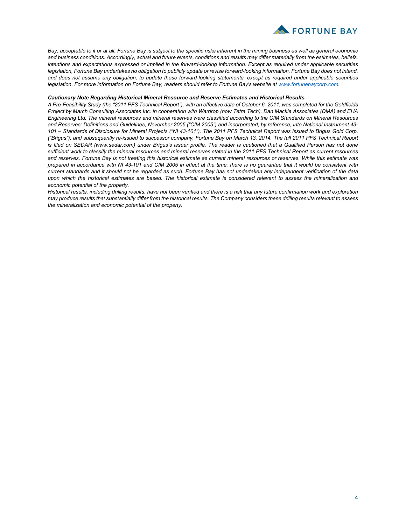

*Bay, acceptable to it or at all. Fortune Bay is subject to the specific risks inherent in the mining business as well as general economic and business conditions. Accordingly, actual and future events, conditions and results may differ materially from the estimates, beliefs, intentions and expectations expressed or implied in the forward-looking information. Except as required under applicable securities*  legislation, Fortune Bay undertakes no obligation to publicly update or revise forward-looking information. Fortune Bay does not intend, *and does not assume any obligation, to update these forward-looking statements, except as required under applicable securities legislation. For more information on Fortune Bay, readers should refer to Fortune Bay's website at [www.fortunebaycorp.com.](http://www.fortunebaycorp.com/)*

#### *Cautionary Note Regarding Historical Mineral Resource and Reserve Estimates and Historical Results*

*A Pre-Feasibility Study (the "2011 PFS Technical Report"), with an effective date of October 6, 2011, was completed for the Goldfields Project by March Consulting Associates Inc. in cooperation with Wardrop (now Tetra Tech), Dan Mackie Associates (DMA) and EHA Engineering Ltd. The mineral resources and mineral reserves were classified according to the CIM Standards on Mineral Resources and Reserves: Definitions and Guidelines, November 2005 ("CIM 2005") and incorporated, by reference, into National Instrument 43- 101 – Standards of Disclosure for Mineral Projects ("NI 43-101"). The 2011 PFS Technical Report was issued to Brigus Gold Corp. ("Brigus"), and subsequently re-issued to successor company, Fortune Bay on March 13, 2014. The full 2011 PFS Technical Report*  is filed on SEDAR (www.sedar.com) under Brigus's issuer profile. The reader is cautioned that a Qualified Person has not done *sufficient work to classify the mineral resources and mineral reserves stated in the 2011 PFS Technical Report as current resources and reserves. Fortune Bay is not treating this historical estimate as current mineral resources or reserves. While this estimate was prepared in accordance with NI 43-101 and CIM 2005 in effect at the time, there is no guarantee that it would be consistent with current standards and it should not be regarded as such. Fortune Bay has not undertaken any independent verification of the data upon which the historical estimates are based. The historical estimate is considered relevant to assess the mineralization and economic potential of the property.* 

*Historical results, including drilling results, have not been verified and there is a risk that any future confirmation work and exploration may produce results that substantially differ from the historical results. The Company considers these drilling results relevant to assess the mineralization and economic potential of the property.*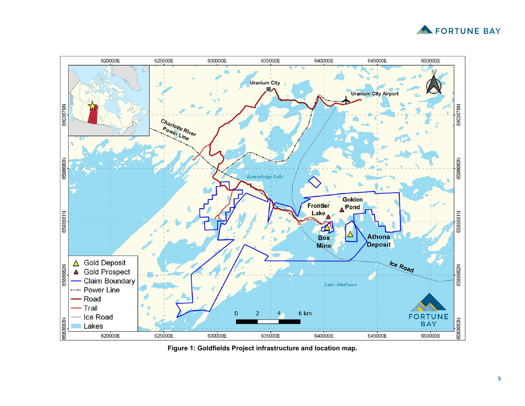



**Figure 1: Goldfields Project infrastructure and location map.**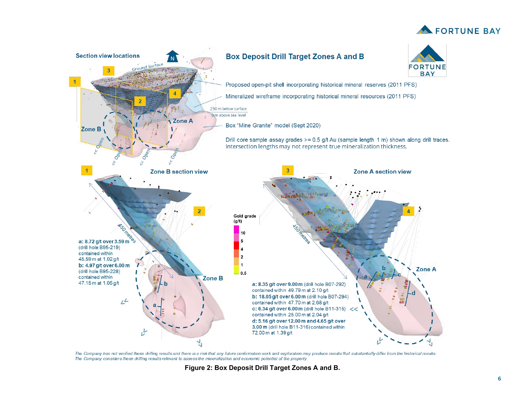



The Company has not verified these drilling results and there is a risk that any future confirmation work and exploration may produce results that substantially differ from the historical results. The Company considers these drilling results relevant to assess the mineralization and economic potential of the property.

**Figure 2: Box Deposit Drill Target Zones A and B .**